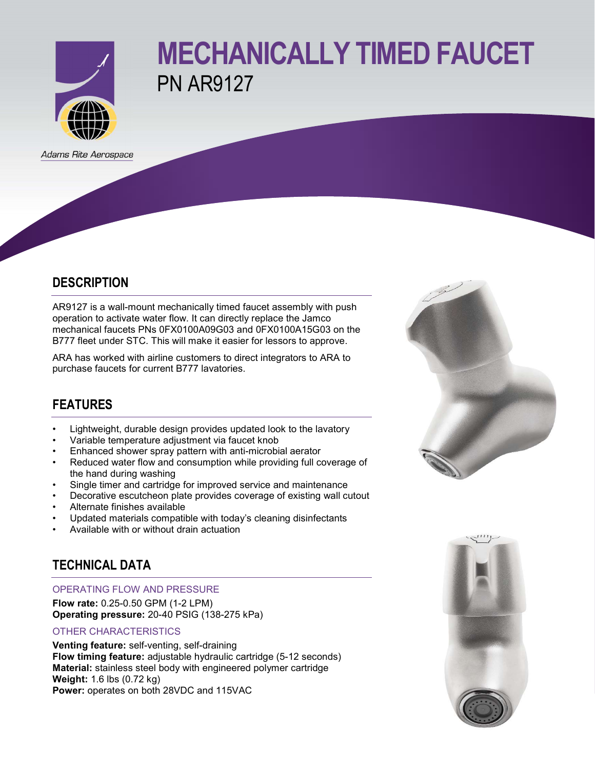

# MECHANICALLY TIMED FAUCET PN AR9127

Adams Rite Aerospace

### **DESCRIPTION**

AR9127 is a wall-mount mechanically timed faucet assembly with push operation to activate water flow. It can directly replace the Jamco mechanical faucets PNs 0FX0100A09G03 and 0FX0100A15G03 on the B777 fleet under STC. This will make it easier for lessors to approve.

ARA has worked with airline customers to direct integrators to ARA to purchase faucets for current B777 lavatories.

## FEATURES

- Lightweight, durable design provides updated look to the lavatory
- Variable temperature adjustment via faucet knob
- Enhanced shower spray pattern with anti-microbial aerator
- Reduced water flow and consumption while providing full coverage of the hand during washing
- Single timer and cartridge for improved service and maintenance
- Decorative escutcheon plate provides coverage of existing wall cutout
- Alternate finishes available
- Updated materials compatible with today's cleaning disinfectants
- Available with or without drain actuation

## TECHNICAL DATA

#### OPERATING FLOW AND PRESSURE

Flow rate: 0.25-0.50 GPM (1-2 LPM) Operating pressure: 20-40 PSIG (138-275 kPa)

#### OTHER CHARACTERISTICS

Venting feature: self-venting, self-draining Flow timing feature: adjustable hydraulic cartridge (5-12 seconds) Material: stainless steel body with engineered polymer cartridge Weight: 1.6 lbs (0.72 kg) Power: operates on both 28VDC and 115VAC